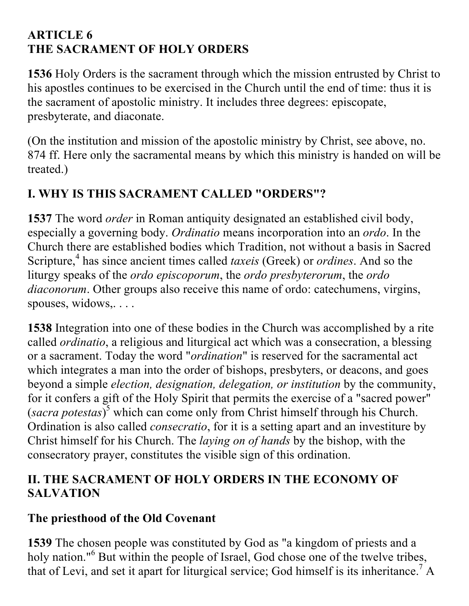#### **ARTICLE 6 THE SACRAMENT OF HOLY ORDERS**

**1536** Holy Orders is the sacrament through which the mission entrusted by Christ to his apostles continues to be exercised in the Church until the end of time: thus it is the sacrament of apostolic ministry. It includes three degrees: episcopate, presbyterate, and diaconate.

(On the institution and mission of the apostolic ministry by Christ, see above, no. 874 ff. Here only the sacramental means by which this ministry is handed on will be treated.)

## **I. WHY IS THIS SACRAMENT CALLED "ORDERS"?**

**1537** The word *order* in Roman antiquity designated an established civil body, especially a governing body. *Ordinatio* means incorporation into an *ordo*. In the Church there are established bodies which Tradition, not without a basis in Sacred Scripture,<sup>4</sup> has since ancient times called *taxeis* (Greek) or *ordines*. And so the liturgy speaks of the *ordo episcoporum*, the *ordo presbyterorum*, the *ordo diaconorum*. Other groups also receive this name of ordo: catechumens, virgins, spouses, widows,. . . .

**1538** Integration into one of these bodies in the Church was accomplished by a rite called *ordinatio*, a religious and liturgical act which was a consecration, a blessing or a sacrament. Today the word "*ordination*" is reserved for the sacramental act which integrates a man into the order of bishops, presbyters, or deacons, and goes beyond a simple *election, designation, delegation, or institution* by the community, for it confers a gift of the Holy Spirit that permits the exercise of a "sacred power" (*sacra potestas*)<sup>5</sup> which can come only from Christ himself through his Church. Ordination is also called *consecratio*, for it is a setting apart and an investiture by Christ himself for his Church. The *laying on of hands* by the bishop, with the consecratory prayer, constitutes the visible sign of this ordination.

#### **II. THE SACRAMENT OF HOLY ORDERS IN THE ECONOMY OF SALVATION**

# **The priesthood of the Old Covenant**

**1539** The chosen people was constituted by God as "a kingdom of priests and a holy nation."<sup>6</sup> But within the people of Israel, God chose one of the twelve tribes, that of Levi, and set it apart for liturgical service; God himself is its inheritance.<sup>7</sup> A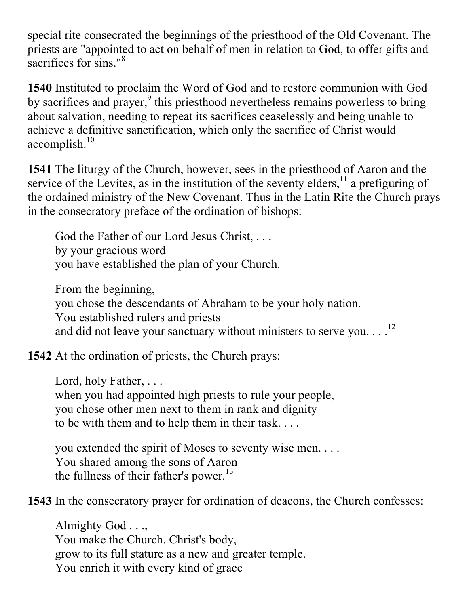special rite consecrated the beginnings of the priesthood of the Old Covenant. The priests are "appointed to act on behalf of men in relation to God, to offer gifts and sacrifices for sins."<sup>8</sup>

**1540** Instituted to proclaim the Word of God and to restore communion with God by sacrifices and prayer,<sup>9</sup> this priesthood nevertheless remains powerless to bring about salvation, needing to repeat its sacrifices ceaselessly and being unable to achieve a definitive sanctification, which only the sacrifice of Christ would  $accountish.<sup>10</sup>$ 

**1541** The liturgy of the Church, however, sees in the priesthood of Aaron and the service of the Levites, as in the institution of the seventy elders,  $\frac{1}{1}$  a prefiguring of the ordained ministry of the New Covenant. Thus in the Latin Rite the Church prays in the consecratory preface of the ordination of bishops:

God the Father of our Lord Jesus Christ, . . . by your gracious word you have established the plan of your Church.

From the beginning,

you chose the descendants of Abraham to be your holy nation. You established rulers and priests and did not leave your sanctuary without ministers to serve you... $^{12}$ 

**1542** At the ordination of priests, the Church prays:

Lord, holy Father, ...

when you had appointed high priests to rule your people, you chose other men next to them in rank and dignity to be with them and to help them in their task. . . .

you extended the spirit of Moses to seventy wise men. . . . You shared among the sons of Aaron the fullness of their father's power. $^{13}$ 

**1543** In the consecratory prayer for ordination of deacons, the Church confesses:

Almighty God . . ., You make the Church, Christ's body, grow to its full stature as a new and greater temple. You enrich it with every kind of grace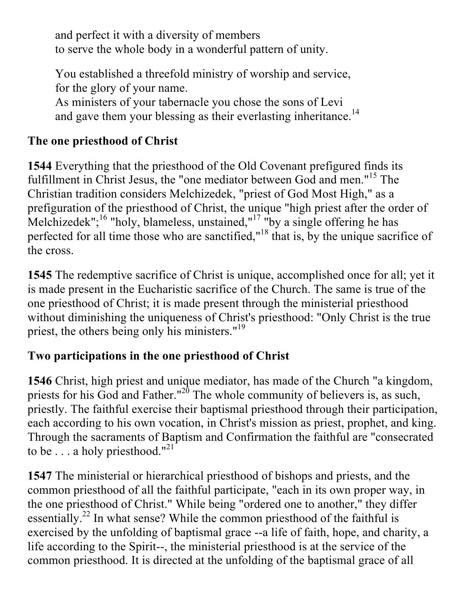and perfect it with a diversity of members to serve the whole body in a wonderful pattern of unity.

You established a threefold ministry of worship and service, for the glory of your name.

As ministers of your tabernacle you chose the sons of Levi and gave them your blessing as their everlasting inheritance.<sup>14</sup>

## **The one priesthood of Christ**

**1544** Everything that the priesthood of the Old Covenant prefigured finds its fulfillment in Christ Jesus, the "one mediator between God and men."15 The Christian tradition considers Melchizedek, "priest of God Most High," as a prefiguration of the priesthood of Christ, the unique "high priest after the order of Melchizedek";<sup>16</sup> "holy, blameless, unstained,"<sup>17</sup> "by a single offering he has perfected for all time those who are sanctified,"18 that is, by the unique sacrifice of the cross.

**1545** The redemptive sacrifice of Christ is unique, accomplished once for all; yet it is made present in the Eucharistic sacrifice of the Church. The same is true of the one priesthood of Christ; it is made present through the ministerial priesthood without diminishing the uniqueness of Christ's priesthood: "Only Christ is the true priest, the others being only his ministers."<sup>19</sup>

# **Two participations in the one priesthood of Christ**

**1546** Christ, high priest and unique mediator, has made of the Church "a kingdom, priests for his God and Father."<sup>20</sup> The whole community of believers is, as such, priestly. The faithful exercise their baptismal priesthood through their participation, each according to his own vocation, in Christ's mission as priest, prophet, and king. Through the sacraments of Baptism and Confirmation the faithful are "consecrated to be  $\dots$  a holy priesthood."<sup>21</sup>

**1547** The ministerial or hierarchical priesthood of bishops and priests, and the common priesthood of all the faithful participate, "each in its own proper way, in the one priesthood of Christ." While being "ordered one to another," they differ essentially.<sup>22</sup> In what sense? While the common priesthood of the faithful is exercised by the unfolding of baptismal grace --a life of faith, hope, and charity, a life according to the Spirit--, the ministerial priesthood is at the service of the common priesthood. It is directed at the unfolding of the baptismal grace of all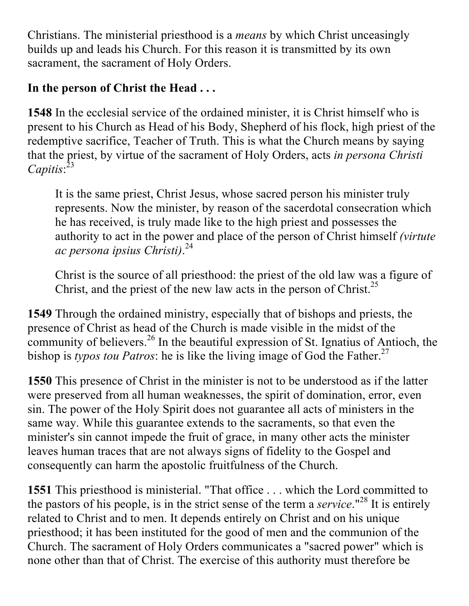Christians. The ministerial priesthood is a *means* by which Christ unceasingly builds up and leads his Church. For this reason it is transmitted by its own sacrament, the sacrament of Holy Orders.

#### **In the person of Christ the Head . . .**

**1548** In the ecclesial service of the ordained minister, it is Christ himself who is present to his Church as Head of his Body, Shepherd of his flock, high priest of the redemptive sacrifice, Teacher of Truth. This is what the Church means by saying that the priest, by virtue of the sacrament of Holy Orders, acts *in persona Christi*  Capitis:<sup>23</sup>

It is the same priest, Christ Jesus, whose sacred person his minister truly represents. Now the minister, by reason of the sacerdotal consecration which he has received, is truly made like to the high priest and possesses the authority to act in the power and place of the person of Christ himself *(virtute ac persona ipsius Christi)*. 24

Christ is the source of all priesthood: the priest of the old law was a figure of Christ, and the priest of the new law acts in the person of Christ.<sup>25</sup>

**1549** Through the ordained ministry, especially that of bishops and priests, the presence of Christ as head of the Church is made visible in the midst of the community of believers.<sup>26</sup> In the beautiful expression of St. Ignatius of Antioch, the bishop is *typos tou Patros*: he is like the living image of God the Father.<sup>27</sup>

**1550** This presence of Christ in the minister is not to be understood as if the latter were preserved from all human weaknesses, the spirit of domination, error, even sin. The power of the Holy Spirit does not guarantee all acts of ministers in the same way. While this guarantee extends to the sacraments, so that even the minister's sin cannot impede the fruit of grace, in many other acts the minister leaves human traces that are not always signs of fidelity to the Gospel and consequently can harm the apostolic fruitfulness of the Church.

**1551** This priesthood is ministerial. "That office . . . which the Lord committed to the pastors of his people, is in the strict sense of the term a *service*."28 It is entirely related to Christ and to men. It depends entirely on Christ and on his unique priesthood; it has been instituted for the good of men and the communion of the Church. The sacrament of Holy Orders communicates a "sacred power" which is none other than that of Christ. The exercise of this authority must therefore be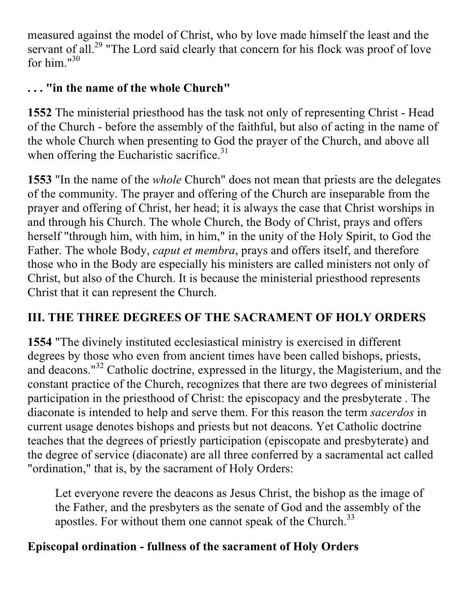measured against the model of Christ, who by love made himself the least and the servant of all.<sup>29</sup> "The Lord said clearly that concern for his flock was proof of love for him  $130$ 

#### **. . . "in the name of the whole Church"**

**1552** The ministerial priesthood has the task not only of representing Christ - Head of the Church - before the assembly of the faithful, but also of acting in the name of the whole Church when presenting to God the prayer of the Church, and above all when offering the Eucharistic sacrifice. $31$ 

**1553** "In the name of the *whole* Church" does not mean that priests are the delegates of the community. The prayer and offering of the Church are inseparable from the prayer and offering of Christ, her head; it is always the case that Christ worships in and through his Church. The whole Church, the Body of Christ, prays and offers herself "through him, with him, in him," in the unity of the Holy Spirit, to God the Father. The whole Body, *caput et membra*, prays and offers itself, and therefore those who in the Body are especially his ministers are called ministers not only of Christ, but also of the Church. It is because the ministerial priesthood represents Christ that it can represent the Church.

# **III. THE THREE DEGREES OF THE SACRAMENT OF HOLY ORDERS**

**1554** "The divinely instituted ecclesiastical ministry is exercised in different degrees by those who even from ancient times have been called bishops, priests, and deacons."32 Catholic doctrine, expressed in the liturgy, the Magisterium, and the constant practice of the Church, recognizes that there are two degrees of ministerial participation in the priesthood of Christ: the episcopacy and the presbyterate . The diaconate is intended to help and serve them. For this reason the term *sacerdos* in current usage denotes bishops and priests but not deacons. Yet Catholic doctrine teaches that the degrees of priestly participation (episcopate and presbyterate) and the degree of service (diaconate) are all three conferred by a sacramental act called "ordination," that is, by the sacrament of Holy Orders:

Let everyone revere the deacons as Jesus Christ, the bishop as the image of the Father, and the presbyters as the senate of God and the assembly of the apostles. For without them one cannot speak of the Church.<sup>33</sup>

## **Episcopal ordination - fullness of the sacrament of Holy Orders**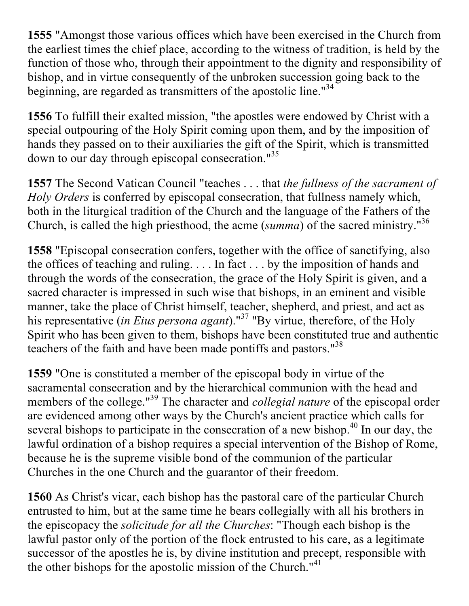**1555** "Amongst those various offices which have been exercised in the Church from the earliest times the chief place, according to the witness of tradition, is held by the function of those who, through their appointment to the dignity and responsibility of bishop, and in virtue consequently of the unbroken succession going back to the beginning, are regarded as transmitters of the apostolic line."<sup>34</sup>

**1556** To fulfill their exalted mission, "the apostles were endowed by Christ with a special outpouring of the Holy Spirit coming upon them, and by the imposition of hands they passed on to their auxiliaries the gift of the Spirit, which is transmitted down to our day through episcopal consecration."<sup>35</sup>

**1557** The Second Vatican Council "teaches . . . that *the fullness of the sacrament of Holy Orders* is conferred by episcopal consecration, that fullness namely which, both in the liturgical tradition of the Church and the language of the Fathers of the Church, is called the high priesthood, the acme (*summa*) of the sacred ministry."<sup>36</sup>

**1558** "Episcopal consecration confers, together with the office of sanctifying, also the offices of teaching and ruling. . . . In fact . . . by the imposition of hands and through the words of the consecration, the grace of the Holy Spirit is given, and a sacred character is impressed in such wise that bishops, in an eminent and visible manner, take the place of Christ himself, teacher, shepherd, and priest, and act as his representative (*in Eius persona agant*)."37 "By virtue, therefore, of the Holy Spirit who has been given to them, bishops have been constituted true and authentic teachers of the faith and have been made pontiffs and pastors."<sup>38</sup>

**1559** "One is constituted a member of the episcopal body in virtue of the sacramental consecration and by the hierarchical communion with the head and members of the college."39 The character and *collegial nature* of the episcopal order are evidenced among other ways by the Church's ancient practice which calls for several bishops to participate in the consecration of a new bishop.<sup>40</sup> In our day, the lawful ordination of a bishop requires a special intervention of the Bishop of Rome, because he is the supreme visible bond of the communion of the particular Churches in the one Church and the guarantor of their freedom.

**1560** As Christ's vicar, each bishop has the pastoral care of the particular Church entrusted to him, but at the same time he bears collegially with all his brothers in the episcopacy the *solicitude for all the Churches*: "Though each bishop is the lawful pastor only of the portion of the flock entrusted to his care, as a legitimate successor of the apostles he is, by divine institution and precept, responsible with the other bishops for the apostolic mission of the Church."<sup>41</sup>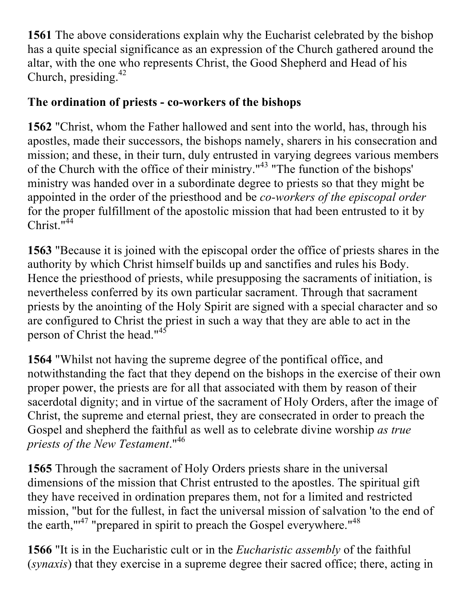**1561** The above considerations explain why the Eucharist celebrated by the bishop has a quite special significance as an expression of the Church gathered around the altar, with the one who represents Christ, the Good Shepherd and Head of his Church, presiding. $42$ 

#### **The ordination of priests - co-workers of the bishops**

**1562** "Christ, whom the Father hallowed and sent into the world, has, through his apostles, made their successors, the bishops namely, sharers in his consecration and mission; and these, in their turn, duly entrusted in varying degrees various members of the Church with the office of their ministry."43 "The function of the bishops' ministry was handed over in a subordinate degree to priests so that they might be appointed in the order of the priesthood and be *co-workers of the episcopal order* for the proper fulfillment of the apostolic mission that had been entrusted to it by Christ."<sup>44</sup>

**1563** "Because it is joined with the episcopal order the office of priests shares in the authority by which Christ himself builds up and sanctifies and rules his Body. Hence the priesthood of priests, while presupposing the sacraments of initiation, is nevertheless conferred by its own particular sacrament. Through that sacrament priests by the anointing of the Holy Spirit are signed with a special character and so are configured to Christ the priest in such a way that they are able to act in the person of Christ the head."<sup>45</sup>

**1564** "Whilst not having the supreme degree of the pontifical office, and notwithstanding the fact that they depend on the bishops in the exercise of their own proper power, the priests are for all that associated with them by reason of their sacerdotal dignity; and in virtue of the sacrament of Holy Orders, after the image of Christ, the supreme and eternal priest, they are consecrated in order to preach the Gospel and shepherd the faithful as well as to celebrate divine worship *as true priests of the New Testament*."<sup>46</sup>

**1565** Through the sacrament of Holy Orders priests share in the universal dimensions of the mission that Christ entrusted to the apostles. The spiritual gift they have received in ordination prepares them, not for a limited and restricted mission, "but for the fullest, in fact the universal mission of salvation 'to the end of the earth, $"^{47}$  "prepared in spirit to preach the Gospel everywhere." $^{48}$ 

**1566** "It is in the Eucharistic cult or in the *Eucharistic assembly* of the faithful (*synaxis*) that they exercise in a supreme degree their sacred office; there, acting in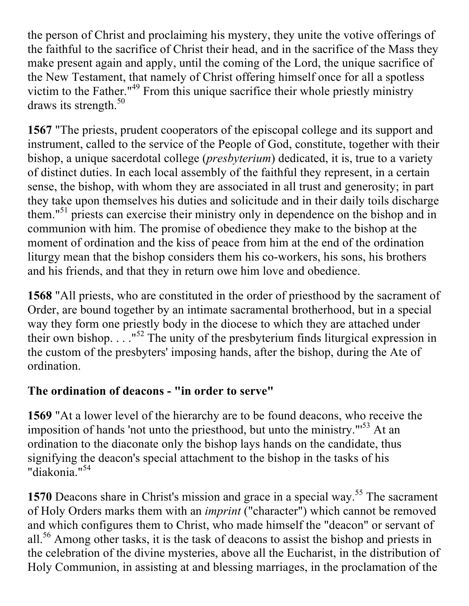the person of Christ and proclaiming his mystery, they unite the votive offerings of the faithful to the sacrifice of Christ their head, and in the sacrifice of the Mass they make present again and apply, until the coming of the Lord, the unique sacrifice of the New Testament, that namely of Christ offering himself once for all a spotless victim to the Father."49 From this unique sacrifice their whole priestly ministry draws its strength.<sup>50</sup>

**1567** "The priests, prudent cooperators of the episcopal college and its support and instrument, called to the service of the People of God, constitute, together with their bishop, a unique sacerdotal college (*presbyterium*) dedicated, it is, true to a variety of distinct duties. In each local assembly of the faithful they represent, in a certain sense, the bishop, with whom they are associated in all trust and generosity; in part they take upon themselves his duties and solicitude and in their daily toils discharge them."<sup>51</sup> priests can exercise their ministry only in dependence on the bishop and in communion with him. The promise of obedience they make to the bishop at the moment of ordination and the kiss of peace from him at the end of the ordination liturgy mean that the bishop considers them his co-workers, his sons, his brothers and his friends, and that they in return owe him love and obedience.

**1568** "All priests, who are constituted in the order of priesthood by the sacrament of Order, are bound together by an intimate sacramental brotherhood, but in a special way they form one priestly body in the diocese to which they are attached under their own bishop.  $\ldots$ <sup>52</sup> The unity of the presbyterium finds liturgical expression in the custom of the presbyters' imposing hands, after the bishop, during the Ate of ordination.

#### **The ordination of deacons - "in order to serve"**

**1569** "At a lower level of the hierarchy are to be found deacons, who receive the imposition of hands 'not unto the priesthood, but unto the ministry."<sup>53</sup> At an ordination to the diaconate only the bishop lays hands on the candidate, thus signifying the deacon's special attachment to the bishop in the tasks of his "diakonia<sup>"54</sup>

**1570** Deacons share in Christ's mission and grace in a special way.<sup>55</sup> The sacrament of Holy Orders marks them with an *imprint* ("character") which cannot be removed and which configures them to Christ, who made himself the "deacon" or servant of all.<sup>56</sup> Among other tasks, it is the task of deacons to assist the bishop and priests in the celebration of the divine mysteries, above all the Eucharist, in the distribution of Holy Communion, in assisting at and blessing marriages, in the proclamation of the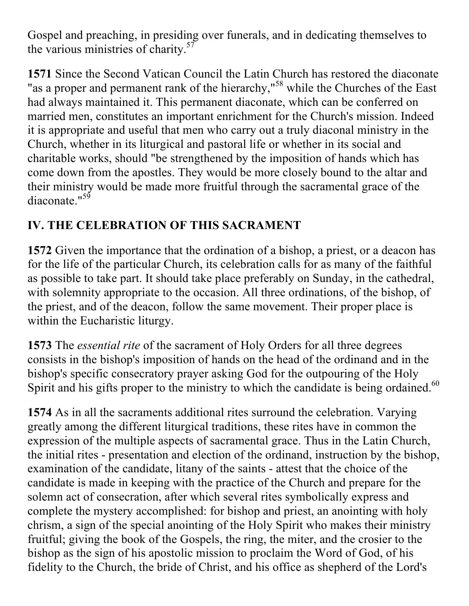Gospel and preaching, in presiding over funerals, and in dedicating themselves to the various ministries of charity.<sup>57</sup>

**1571** Since the Second Vatican Council the Latin Church has restored the diaconate "as a proper and permanent rank of the hierarchy,"<sup>58</sup> while the Churches of the East had always maintained it. This permanent diaconate, which can be conferred on married men, constitutes an important enrichment for the Church's mission. Indeed it is appropriate and useful that men who carry out a truly diaconal ministry in the Church, whether in its liturgical and pastoral life or whether in its social and charitable works, should "be strengthened by the imposition of hands which has come down from the apostles. They would be more closely bound to the altar and their ministry would be made more fruitful through the sacramental grace of the diaconate."<sup>59</sup>

#### **IV. THE CELEBRATION OF THIS SACRAMENT**

**1572** Given the importance that the ordination of a bishop, a priest, or a deacon has for the life of the particular Church, its celebration calls for as many of the faithful as possible to take part. It should take place preferably on Sunday, in the cathedral, with solemnity appropriate to the occasion. All three ordinations, of the bishop, of the priest, and of the deacon, follow the same movement. Their proper place is within the Eucharistic liturgy.

**1573** The *essential rite* of the sacrament of Holy Orders for all three degrees consists in the bishop's imposition of hands on the head of the ordinand and in the bishop's specific consecratory prayer asking God for the outpouring of the Holy Spirit and his gifts proper to the ministry to which the candidate is being ordained.<sup>60</sup>

**1574** As in all the sacraments additional rites surround the celebration. Varying greatly among the different liturgical traditions, these rites have in common the expression of the multiple aspects of sacramental grace. Thus in the Latin Church, the initial rites - presentation and election of the ordinand, instruction by the bishop, examination of the candidate, litany of the saints - attest that the choice of the candidate is made in keeping with the practice of the Church and prepare for the solemn act of consecration, after which several rites symbolically express and complete the mystery accomplished: for bishop and priest, an anointing with holy chrism, a sign of the special anointing of the Holy Spirit who makes their ministry fruitful; giving the book of the Gospels, the ring, the miter, and the crosier to the bishop as the sign of his apostolic mission to proclaim the Word of God, of his fidelity to the Church, the bride of Christ, and his office as shepherd of the Lord's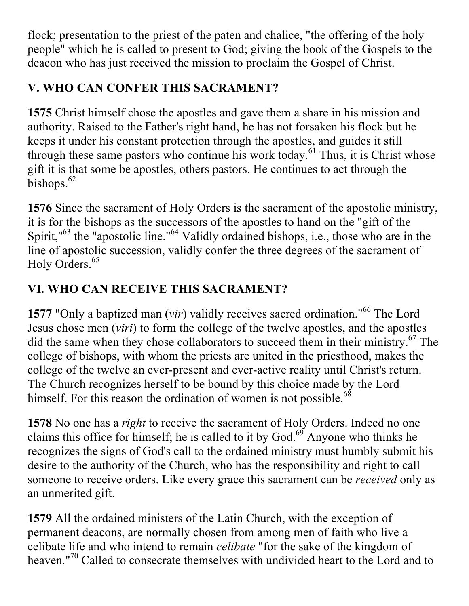flock; presentation to the priest of the paten and chalice, "the offering of the holy people" which he is called to present to God; giving the book of the Gospels to the deacon who has just received the mission to proclaim the Gospel of Christ.

# **V. WHO CAN CONFER THIS SACRAMENT?**

**1575** Christ himself chose the apostles and gave them a share in his mission and authority. Raised to the Father's right hand, he has not forsaken his flock but he keeps it under his constant protection through the apostles, and guides it still through these same pastors who continue his work today.<sup>61</sup> Thus, it is Christ whose gift it is that some be apostles, others pastors. He continues to act through the bishops.<sup>62</sup>

**1576** Since the sacrament of Holy Orders is the sacrament of the apostolic ministry, it is for the bishops as the successors of the apostles to hand on the "gift of the Spirit,"<sup>63</sup> the "apostolic line."<sup>64</sup> Validly ordained bishops, i.e., those who are in the line of apostolic succession, validly confer the three degrees of the sacrament of Holy Orders.<sup>65</sup>

# **VI. WHO CAN RECEIVE THIS SACRAMENT?**

**1577** "Only a baptized man (*vir*) validly receives sacred ordination."<sup>66</sup> The Lord Jesus chose men (*viri*) to form the college of the twelve apostles, and the apostles did the same when they chose collaborators to succeed them in their ministry.<sup>67</sup> The college of bishops, with whom the priests are united in the priesthood, makes the college of the twelve an ever-present and ever-active reality until Christ's return. The Church recognizes herself to be bound by this choice made by the Lord himself. For this reason the ordination of women is not possible.<sup>68</sup>

**1578** No one has a *right* to receive the sacrament of Holy Orders. Indeed no one claims this office for himself; he is called to it by  $God.<sup>69</sup>$  Anyone who thinks he recognizes the signs of God's call to the ordained ministry must humbly submit his desire to the authority of the Church, who has the responsibility and right to call someone to receive orders. Like every grace this sacrament can be *received* only as an unmerited gift.

**1579** All the ordained ministers of the Latin Church, with the exception of permanent deacons, are normally chosen from among men of faith who live a celibate life and who intend to remain *celibate* "for the sake of the kingdom of heaven."70 Called to consecrate themselves with undivided heart to the Lord and to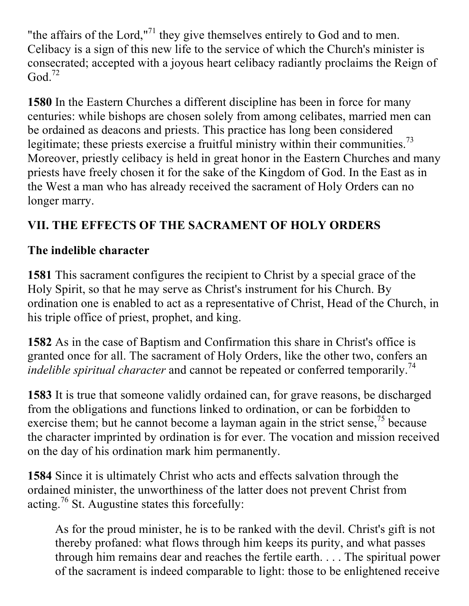"the affairs of the Lord,"<sup>71</sup> they give themselves entirely to God and to men. Celibacy is a sign of this new life to the service of which the Church's minister is consecrated; accepted with a joyous heart celibacy radiantly proclaims the Reign of God<sup> $72$ </sup>

**1580** In the Eastern Churches a different discipline has been in force for many centuries: while bishops are chosen solely from among celibates, married men can be ordained as deacons and priests. This practice has long been considered legitimate; these priests exercise a fruitful ministry within their communities.<sup>73</sup> Moreover, priestly celibacy is held in great honor in the Eastern Churches and many priests have freely chosen it for the sake of the Kingdom of God. In the East as in the West a man who has already received the sacrament of Holy Orders can no longer marry.

## **VII. THE EFFECTS OF THE SACRAMENT OF HOLY ORDERS**

#### **The indelible character**

**1581** This sacrament configures the recipient to Christ by a special grace of the Holy Spirit, so that he may serve as Christ's instrument for his Church. By ordination one is enabled to act as a representative of Christ, Head of the Church, in his triple office of priest, prophet, and king.

**1582** As in the case of Baptism and Confirmation this share in Christ's office is granted once for all. The sacrament of Holy Orders, like the other two, confers an *indelible spiritual character* and cannot be repeated or conferred temporarily.<sup>74</sup>

**1583** It is true that someone validly ordained can, for grave reasons, be discharged from the obligations and functions linked to ordination, or can be forbidden to exercise them; but he cannot become a layman again in the strict sense,  $\frac{75}{15}$  because the character imprinted by ordination is for ever. The vocation and mission received on the day of his ordination mark him permanently.

**1584** Since it is ultimately Christ who acts and effects salvation through the ordained minister, the unworthiness of the latter does not prevent Christ from acting.76 St. Augustine states this forcefully:

As for the proud minister, he is to be ranked with the devil. Christ's gift is not thereby profaned: what flows through him keeps its purity, and what passes through him remains dear and reaches the fertile earth. . . . The spiritual power of the sacrament is indeed comparable to light: those to be enlightened receive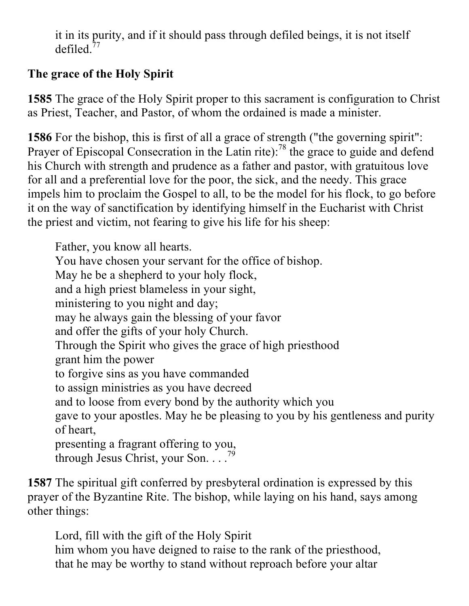it in its purity, and if it should pass through defiled beings, it is not itself defiled $<sup>77</sup>$ </sup>

## **The grace of the Holy Spirit**

**1585** The grace of the Holy Spirit proper to this sacrament is configuration to Christ as Priest, Teacher, and Pastor, of whom the ordained is made a minister.

**1586** For the bishop, this is first of all a grace of strength ("the governing spirit": Prayer of Episcopal Consecration in the Latin rite):<sup>78</sup> the grace to guide and defend his Church with strength and prudence as a father and pastor, with gratuitous love for all and a preferential love for the poor, the sick, and the needy. This grace impels him to proclaim the Gospel to all, to be the model for his flock, to go before it on the way of sanctification by identifying himself in the Eucharist with Christ the priest and victim, not fearing to give his life for his sheep:

Father, you know all hearts. You have chosen your servant for the office of bishop. May he be a shepherd to your holy flock, and a high priest blameless in your sight, ministering to you night and day; may he always gain the blessing of your favor and offer the gifts of your holy Church. Through the Spirit who gives the grace of high priesthood grant him the power to forgive sins as you have commanded to assign ministries as you have decreed and to loose from every bond by the authority which you gave to your apostles. May he be pleasing to you by his gentleness and purity of heart, presenting a fragrant offering to you, through Jesus Christ, your Son...<sup>79</sup>

**1587** The spiritual gift conferred by presbyteral ordination is expressed by this prayer of the Byzantine Rite. The bishop, while laying on his hand, says among other things:

Lord, fill with the gift of the Holy Spirit him whom you have deigned to raise to the rank of the priesthood, that he may be worthy to stand without reproach before your altar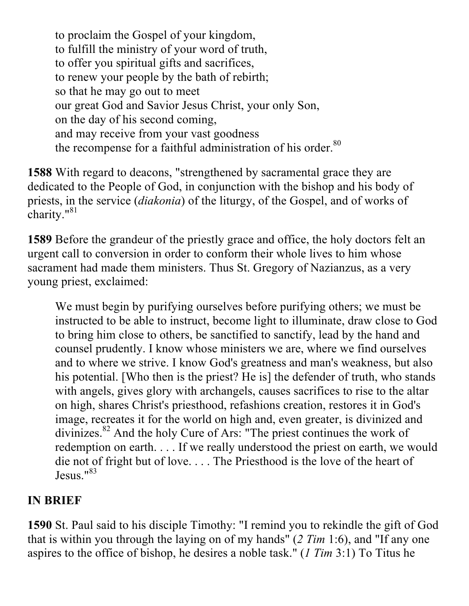to proclaim the Gospel of your kingdom, to fulfill the ministry of your word of truth, to offer you spiritual gifts and sacrifices, to renew your people by the bath of rebirth; so that he may go out to meet our great God and Savior Jesus Christ, your only Son, on the day of his second coming, and may receive from your vast goodness the recompense for a faithful administration of his order.<sup>80</sup>

**1588** With regard to deacons, "strengthened by sacramental grace they are dedicated to the People of God, in conjunction with the bishop and his body of priests, in the service (*diakonia*) of the liturgy, of the Gospel, and of works of charity."<sup>81</sup>

**1589** Before the grandeur of the priestly grace and office, the holy doctors felt an urgent call to conversion in order to conform their whole lives to him whose sacrament had made them ministers. Thus St. Gregory of Nazianzus, as a very young priest, exclaimed:

We must begin by purifying ourselves before purifying others; we must be instructed to be able to instruct, become light to illuminate, draw close to God to bring him close to others, be sanctified to sanctify, lead by the hand and counsel prudently. I know whose ministers we are, where we find ourselves and to where we strive. I know God's greatness and man's weakness, but also his potential. [Who then is the priest? He is] the defender of truth, who stands with angels, gives glory with archangels, causes sacrifices to rise to the altar on high, shares Christ's priesthood, refashions creation, restores it in God's image, recreates it for the world on high and, even greater, is divinized and divinizes.82 And the holy Cure of Ars: "The priest continues the work of redemption on earth. . . . If we really understood the priest on earth, we would die not of fright but of love. . . . The Priesthood is the love of the heart of Jesus."<sup>83</sup>

#### **IN BRIEF**

**1590** St. Paul said to his disciple Timothy: "I remind you to rekindle the gift of God that is within you through the laying on of my hands" (*2 Tim* 1:6), and "If any one aspires to the office of bishop, he desires a noble task." (*1 Tim* 3:1) To Titus he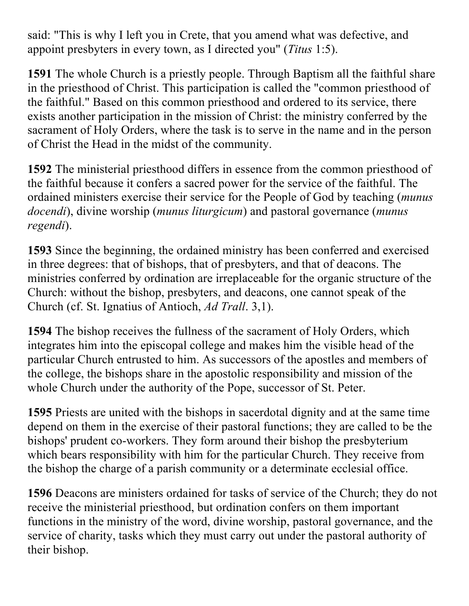said: "This is why I left you in Crete, that you amend what was defective, and appoint presbyters in every town, as I directed you" (*Titus* 1:5).

**1591** The whole Church is a priestly people. Through Baptism all the faithful share in the priesthood of Christ. This participation is called the "common priesthood of the faithful." Based on this common priesthood and ordered to its service, there exists another participation in the mission of Christ: the ministry conferred by the sacrament of Holy Orders, where the task is to serve in the name and in the person of Christ the Head in the midst of the community.

**1592** The ministerial priesthood differs in essence from the common priesthood of the faithful because it confers a sacred power for the service of the faithful. The ordained ministers exercise their service for the People of God by teaching (*munus docendi*), divine worship (*munus liturgicum*) and pastoral governance (*munus regendi*).

**1593** Since the beginning, the ordained ministry has been conferred and exercised in three degrees: that of bishops, that of presbyters, and that of deacons. The ministries conferred by ordination are irreplaceable for the organic structure of the Church: without the bishop, presbyters, and deacons, one cannot speak of the Church (cf. St. Ignatius of Antioch, *Ad Trall*. 3,1).

**1594** The bishop receives the fullness of the sacrament of Holy Orders, which integrates him into the episcopal college and makes him the visible head of the particular Church entrusted to him. As successors of the apostles and members of the college, the bishops share in the apostolic responsibility and mission of the whole Church under the authority of the Pope, successor of St. Peter.

**1595** Priests are united with the bishops in sacerdotal dignity and at the same time depend on them in the exercise of their pastoral functions; they are called to be the bishops' prudent co-workers. They form around their bishop the presbyterium which bears responsibility with him for the particular Church. They receive from the bishop the charge of a parish community or a determinate ecclesial office.

**1596** Deacons are ministers ordained for tasks of service of the Church; they do not receive the ministerial priesthood, but ordination confers on them important functions in the ministry of the word, divine worship, pastoral governance, and the service of charity, tasks which they must carry out under the pastoral authority of their bishop.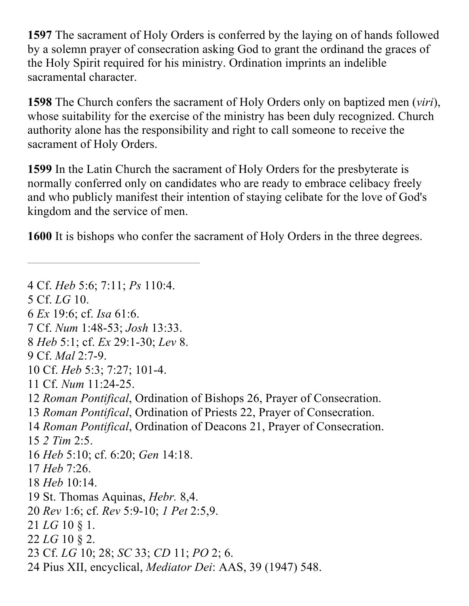**1597** The sacrament of Holy Orders is conferred by the laying on of hands followed by a solemn prayer of consecration asking God to grant the ordinand the graces of the Holy Spirit required for his ministry. Ordination imprints an indelible sacramental character.

**1598** The Church confers the sacrament of Holy Orders only on baptized men (*viri*), whose suitability for the exercise of the ministry has been duly recognized. Church authority alone has the responsibility and right to call someone to receive the sacrament of Holy Orders.

**1599** In the Latin Church the sacrament of Holy Orders for the presbyterate is normally conferred only on candidates who are ready to embrace celibacy freely and who publicly manifest their intention of staying celibate for the love of God's kingdom and the service of men.

**1600** It is bishops who confer the sacrament of Holy Orders in the three degrees.

*Ex* 19:6; cf. *Isa* 61:6. 7 Cf. *Num* 1:48-53; *Josh* 13:33. *Heb* 5:1; cf. *Ex* 29:1-30; *Lev* 8. 9 Cf. *Mal* 2:7-9. 10 Cf. *Heb* 5:3; 7:27; 101-4. 11 Cf. *Num* 11:24-25. *Roman Pontifical*, Ordination of Bishops 26, Prayer of Consecration. *Roman Pontifical*, Ordination of Priests 22, Prayer of Consecration. *Roman Pontifical*, Ordination of Deacons 21, Prayer of Consecration. *2 Tim* 2:5. *Heb* 5:10; cf. 6:20; *Gen* 14:18. *Heb* 7:26. *Heb* 10:14. 19 St. Thomas Aquinas, *Hebr.* 8,4. *Rev* 1:6; cf. *Rev* 5:9-10; *1 Pet* 2:5,9. *LG* 10 § 1. *LG* 10 § 2. 23 Cf. *LG* 10; 28; *SC* 33; *CD* 11; *PO* 2; 6. 24 Pius XII, encyclical, *Mediator Dei*: AAS, 39 (1947) 548.

4 Cf. *Heb* 5:6; 7:11; *Ps* 110:4.

5 Cf. *LG* 10.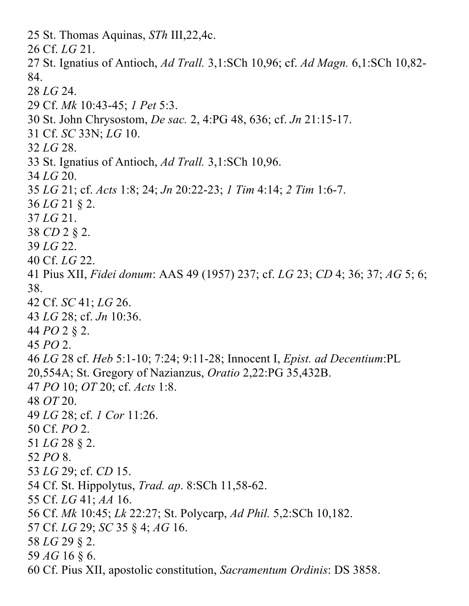25 St. Thomas Aquinas, *STh* III,22,4c. 26 Cf. *LG* 21. 27 St. Ignatius of Antioch, *Ad Trall.* 3,1:SCh 10,96; cf. *Ad Magn.* 6,1:SCh 10,82- 84. 28 *LG* 24. 29 Cf. *Mk* 10:43-45; *1 Pet* 5:3. 30 St. John Chrysostom, *De sac.* 2, 4:PG 48, 636; cf. *Jn* 21:15-17. 31 Cf. *SC* 33N; *LG* 10. 32 *LG* 28. 33 St. Ignatius of Antioch, *Ad Trall.* 3,1:SCh 10,96. 34 *LG* 20. 35 *LG* 21; cf. *Acts* 1:8; 24; *Jn* 20:22-23; *1 Tim* 4:14; *2 Tim* 1:6-7. 36 *LG* 21 § 2. 37 *LG* 21. 38 *CD* 2 § 2. 39 *LG* 22. 40 Cf. *LG* 22. 41 Pius XII, *Fidei donum*: AAS 49 (1957) 237; cf. *LG* 23; *CD* 4; 36; 37; *AG* 5; 6; 38. 42 Cf. *SC* 41; *LG* 26. 43 *LG* 28; cf. *Jn* 10:36. 44 *PO* 2 § 2. 45 *PO* 2. 46 *LG* 28 cf. *Heb* 5:1-10; 7:24; 9:11-28; Innocent I, *Epist. ad Decentium*:PL 20,554A; St. Gregory of Nazianzus, *Oratio* 2,22:PG 35,432B. 47 *PO* 10; *OT* 20; cf. *Acts* 1:8. 48 *OT* 20. 49 *LG* 28; cf. *1 Cor* 11:26. 50 Cf. *PO* 2. 51 *LG* 28 § 2. 52 *PO* 8. 53 *LG* 29; cf. *CD* 15. 54 Cf. St. Hippolytus, *Trad. ap*. 8:SCh 11,58-62. 55 Cf. *LG* 41; *AA* 16. 56 Cf. *Mk* 10:45; *Lk* 22:27; St. Polycarp, *Ad Phil.* 5,2:SCh 10,182. 57 Cf. *LG* 29; *SC* 35 § 4; *AG* 16. 58 *LG* 29 § 2. 59 *AG* 16 § 6. 60 Cf. Pius XII, apostolic constitution, *Sacramentum Ordinis*: DS 3858.